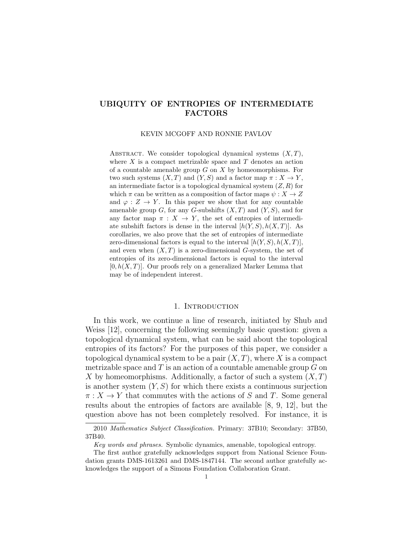# UBIQUITY OF ENTROPIES OF INTERMEDIATE FACTORS

KEVIN MCGOFF AND RONNIE PAVLOV

ABSTRACT. We consider topological dynamical systems  $(X, T)$ , where  $X$  is a compact metrizable space and  $T$  denotes an action of a countable amenable group  $G$  on  $X$  by homeomorphisms. For two such systems  $(X, T)$  and  $(Y, S)$  and a factor map  $\pi : X \to Y$ , an intermediate factor is a topological dynamical system  $(Z, R)$  for which  $\pi$  can be written as a composition of factor maps  $\psi: X \to Z$ and  $\varphi: Z \to Y$ . In this paper we show that for any countable amenable group  $G$ , for any  $G$ -subshifts  $(X, T)$  and  $(Y, S)$ , and for any factor map  $\pi : X \to Y$ , the set of entropies of intermediate subshift factors is dense in the interval  $[h(Y, S), h(X, T)].$  As corollaries, we also prove that the set of entropies of intermediate zero-dimensional factors is equal to the interval  $[h(Y, S), h(X, T)],$ and even when  $(X, T)$  is a zero-dimensional G-system, the set of entropies of its zero-dimensional factors is equal to the interval  $[0, h(X, T)].$  Our proofs rely on a generalized Marker Lemma that may be of independent interest.

#### 1. Introduction

In this work, we continue a line of research, initiated by Shub and Weiss [12], concerning the following seemingly basic question: given a topological dynamical system, what can be said about the topological entropies of its factors? For the purposes of this paper, we consider a topological dynamical system to be a pair  $(X, T)$ , where X is a compact metrizable space and  $T$  is an action of a countable amenable group  $G$  on X by homeomorphisms. Additionally, a factor of such a system  $(X, T)$ is another system  $(Y, S)$  for which there exists a continuous surjection  $\pi: X \to Y$  that commutes with the actions of S and T. Some general results about the entropies of factors are available [8, 9, 12], but the question above has not been completely resolved. For instance, it is

<sup>2010</sup> Mathematics Subject Classification. Primary: 37B10; Secondary: 37B50, 37B40.

Key words and phrases. Symbolic dynamics, amenable, topological entropy.

The first author gratefully acknowledges support from National Science Foundation grants DMS-1613261 and DMS-1847144. The second author gratefully acknowledges the support of a Simons Foundation Collaboration Grant.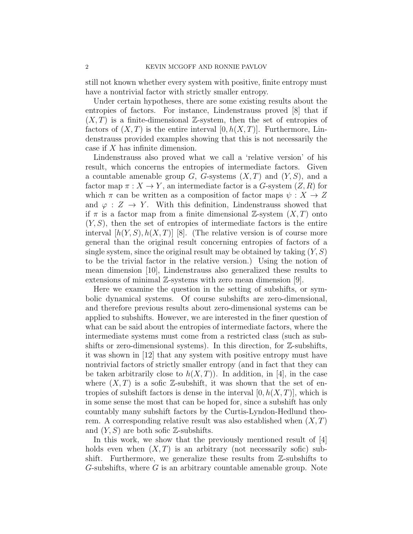still not known whether every system with positive, finite entropy must have a nontrivial factor with strictly smaller entropy.

Under certain hypotheses, there are some existing results about the entropies of factors. For instance, Lindenstrauss proved [8] that if  $(X, T)$  is a finite-dimensional Z-system, then the set of entropies of factors of  $(X, T)$  is the entire interval  $[0, h(X, T)]$ . Furthermore, Lindenstrauss provided examples showing that this is not necessarily the case if X has infinite dimension.

Lindenstrauss also proved what we call a 'relative version' of his result, which concerns the entropies of intermediate factors. Given a countable amenable group  $G$ ,  $G$ -systems  $(X, T)$  and  $(Y, S)$ , and a factor map  $\pi: X \to Y$ , an intermediate factor is a G-system  $(Z, R)$  for which  $\pi$  can be written as a composition of factor maps  $\psi: X \to Z$ and  $\varphi: Z \to Y$ . With this definition, Lindenstrauss showed that if  $\pi$  is a factor map from a finite dimensional Z-system  $(X, T)$  onto  $(Y, S)$ , then the set of entropies of intermediate factors is the entire interval  $[h(Y, S), h(X, T)]$  [8]. (The relative version is of course more general than the original result concerning entropies of factors of a single system, since the original result may be obtained by taking  $(Y, S)$ to be the trivial factor in the relative version.) Using the notion of mean dimension [10], Lindenstrauss also generalized these results to extensions of minimal Z-systems with zero mean dimension [9].

Here we examine the question in the setting of subshifts, or symbolic dynamical systems. Of course subshifts are zero-dimensional, and therefore previous results about zero-dimensional systems can be applied to subshifts. However, we are interested in the finer question of what can be said about the entropies of intermediate factors, where the intermediate systems must come from a restricted class (such as subshifts or zero-dimensional systems). In this direction, for  $\mathbb{Z}$ -subshifts, it was shown in [12] that any system with positive entropy must have nontrivial factors of strictly smaller entropy (and in fact that they can be taken arbitrarily close to  $h(X,T)$ ). In addition, in [4], in the case where  $(X, T)$  is a sofic Z-subshift, it was shown that the set of entropies of subshift factors is dense in the interval  $[0, h(X, T)]$ , which is in some sense the most that can be hoped for, since a subshift has only countably many subshift factors by the Curtis-Lyndon-Hedlund theorem. A corresponding relative result was also established when  $(X, T)$ and  $(Y, S)$  are both sofic  $\mathbb{Z}$ -subshifts.

In this work, we show that the previously mentioned result of [4] holds even when  $(X, T)$  is an arbitrary (not necessarily sofic) subshift. Furthermore, we generalize these results from Z-subshifts to  $G$ -subshifts, where  $G$  is an arbitrary countable amenable group. Note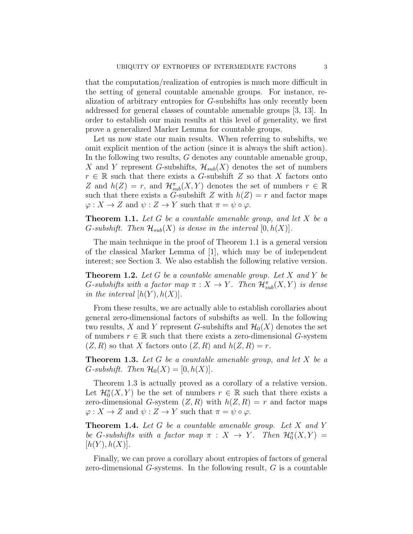that the computation/realization of entropies is much more difficult in the setting of general countable amenable groups. For instance, realization of arbitrary entropies for G-subshifts has only recently been addressed for general classes of countable amenable groups [3, 13]. In order to establish our main results at this level of generality, we first prove a generalized Marker Lemma for countable groups.

Let us now state our main results. When referring to subshifts, we omit explicit mention of the action (since it is always the shift action). In the following two results, G denotes any countable amenable group, X and Y represent G-subshifts,  $\mathcal{H}_{sub}(X)$  denotes the set of numbers  $r \in \mathbb{R}$  such that there exists a G-subshift Z so that X factors onto Z and  $h(Z) = r$ , and  $\mathcal{H}_{sub}^{\pi}(X, Y)$  denotes the set of numbers  $r \in \mathbb{R}$ such that there exists a G-subshift Z with  $h(Z) = r$  and factor maps  $\varphi: X \to Z$  and  $\psi: Z \to Y$  such that  $\pi = \psi \circ \varphi$ .

**Theorem 1.1.** Let G be a countable amenable group, and let X be a G-subshift. Then  $\mathcal{H}_{sub}(X)$  is dense in the interval  $[0, h(X)]$ .

The main technique in the proof of Theorem 1.1 is a general version of the classical Marker Lemma of [1], which may be of independent interest; see Section 3. We also establish the following relative version.

**Theorem 1.2.** Let G be a countable amenable group. Let X and Y be G-subshifts with a factor map  $\pi : X \to Y$ . Then  $\mathcal{H}_{sub}^{\pi}(X, Y)$  is dense in the interval  $[h(Y), h(X)]$ .

From these results, we are actually able to establish corollaries about general zero-dimensional factors of subshifts as well. In the following two results, X and Y represent G-subshifts and  $\mathcal{H}_0(X)$  denotes the set of numbers  $r \in \mathbb{R}$  such that there exists a zero-dimensional G-system  $(Z, R)$  so that X factors onto  $(Z, R)$  and  $h(Z, R) = r$ .

**Theorem 1.3.** Let G be a countable amenable group, and let X be a G-subshift. Then  $\mathcal{H}_0(X) = [0, h(X)].$ 

Theorem 1.3 is actually proved as a corollary of a relative version. Let  $\mathcal{H}_0^{\pi}(X, Y)$  be the set of numbers  $r \in \mathbb{R}$  such that there exists a zero-dimensional G-system  $(Z, R)$  with  $h(Z, R) = r$  and factor maps  $\varphi: X \to Z$  and  $\psi: Z \to Y$  such that  $\pi = \psi \circ \varphi$ .

**Theorem 1.4.** Let G be a countable amenable group. Let X and Y be G-subshifts with a factor map  $\pi : X \to Y$ . Then  $\mathcal{H}_0^{\pi}(X, Y) =$  $[h(Y), h(X)].$ 

Finally, we can prove a corollary about entropies of factors of general zero-dimensional G-systems. In the following result,  $G$  is a countable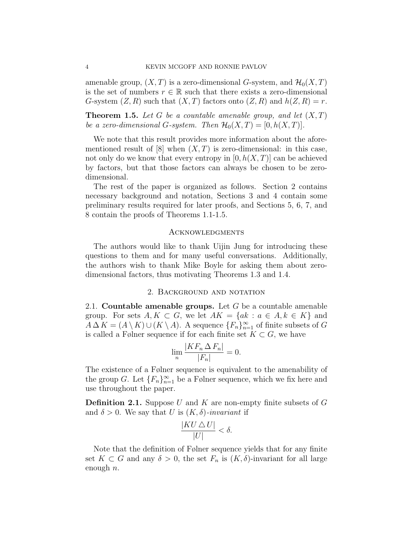amenable group,  $(X, T)$  is a zero-dimensional G-system, and  $\mathcal{H}_0(X, T)$ is the set of numbers  $r \in \mathbb{R}$  such that there exists a zero-dimensional G-system  $(Z, R)$  such that  $(X, T)$  factors onto  $(Z, R)$  and  $h(Z, R) = r$ .

**Theorem 1.5.** Let G be a countable amenable group, and let  $(X, T)$ be a zero-dimensional G-system. Then  $\mathcal{H}_0(X,T) = [0,h(X,T)].$ 

We note that this result provides more information about the aforementioned result of [8] when  $(X, T)$  is zero-dimensional: in this case, not only do we know that every entropy in  $[0, h(X,T)]$  can be achieved by factors, but that those factors can always be chosen to be zerodimensional.

The rest of the paper is organized as follows. Section 2 contains necessary background and notation, Sections 3 and 4 contain some preliminary results required for later proofs, and Sections 5, 6, 7, and 8 contain the proofs of Theorems 1.1-1.5.

#### **ACKNOWLEDGMENTS**

The authors would like to thank Uijin Jung for introducing these questions to them and for many useful conversations. Additionally, the authors wish to thank Mike Boyle for asking them about zerodimensional factors, thus motivating Theorems 1.3 and 1.4.

#### 2. Background and notation

2.1. Countable amenable groups. Let  $G$  be a countable amenable group. For sets  $A, K \subset G$ , we let  $AK = \{ak : a \in A, k \in K\}$  and  $A \Delta K = (A \setminus K) \cup (K \setminus A)$ . A sequence  $\{F_n\}_{n=1}^{\infty}$  of finite subsets of G is called a Følner sequence if for each finite set  $K \subset G$ , we have

$$
\lim_{n} \frac{|KF_n \Delta F_n|}{|F_n|} = 0.
$$

The existence of a Følner sequence is equivalent to the amenability of the group G. Let  ${F_n}_{n=1}^{\infty}$  be a Følner sequence, which we fix here and use throughout the paper.

**Definition 2.1.** Suppose U and K are non-empty finite subsets of G and  $\delta > 0$ . We say that U is  $(K, \delta)$ -invariant if

$$
\frac{|KU \triangle U|}{|U|} < \delta.
$$

Note that the definition of Følner sequence yields that for any finite set  $K \subset G$  and any  $\delta > 0$ , the set  $F_n$  is  $(K, \delta)$ -invariant for all large enough  $n$ .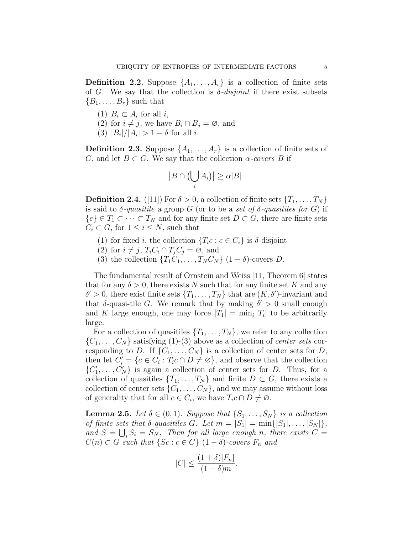**Definition 2.2.** Suppose  $\{A_1, \ldots, A_r\}$  is a collection of finite sets of G. We say that the collection is  $\delta$ -disjoint if there exist subsets  ${B_1, \ldots, B_r}$  such that

- (1)  $B_i \subset A_i$  for all *i*,
- (2) for  $i \neq j$ , we have  $B_i \cap B_j = \emptyset$ , and
- (3)  $|B_i|/|A_i| > 1 \delta$  for all *i*.

**Definition 2.3.** Suppose  $\{A_1, \ldots, A_r\}$  is a collection of finite sets of G, and let  $B \subset G$ . We say that the collection  $\alpha$ -covers B if

$$
|B \cap \left(\bigcup_i A_i\right)| \ge \alpha |B|.
$$

**Definition 2.4.** ([11]) For  $\delta > 0$ , a collection of finite sets  $\{T_1, \ldots, T_N\}$ is said to  $\delta$ -quasitile a group G (or to be a set of  $\delta$ -quasitiles for G) if  ${e} \in T_1 \subset \cdots \subset T_N$  and for any finite set  $D \subset G$ , there are finite sets  $C_i \subset G$ , for  $1 \leq i \leq N$ , such that

- (1) for fixed i, the collection  $\{T_ic : c \in C_i\}$  is  $\delta$ -disjoint
- (2) for  $i \neq j$ ,  $T_iC_i \cap T_jC_j = \emptyset$ , and
- (3) the collection  $\{T_1C_1, \ldots, T_NC_N\}$   $(1 \delta)$ -covers D.

The fundamental result of Ornstein and Weiss [11, Theorem 6] states that for any  $\delta > 0$ , there exists N such that for any finite set K and any  $\delta' > 0$ , there exist finite sets  $\{T_1, \ldots, T_N\}$  that are  $(K, \delta')$ -invariant and that  $\delta$ -quasi-tile G. We remark that by making  $\delta' > 0$  small enough and K large enough, one may force  $|T_1| = \min_i |T_i|$  to be arbitrarily large.

For a collection of quasitiles  $\{T_1, \ldots, T_N\}$ , we refer to any collection  $\{C_1, \ldots, C_N\}$  satisfying (1)-(3) above as a collection of *center sets* corresponding to D. If  $\{C_1, \ldots, C_N\}$  is a collection of center sets for D, then let  $C_i' = \{c \in C_i : T_i c \cap D \neq \emptyset\}$ , and observe that the collection  $\{C'_1, \ldots, C'_N\}$  is again a collection of center sets for D. Thus, for a collection of quasitiles  $\{T_1, \ldots, T_N\}$  and finite  $D \subset G$ , there exists a collection of center sets  $\{C_1, \ldots, C_N\}$ , and we may assume without loss of generality that for all  $c \in C_i$ , we have  $T_i c \cap D \neq \emptyset$ .

**Lemma 2.5.** Let  $\delta \in (0,1)$ . Suppose that  $\{S_1, \ldots, S_N\}$  is a collection of finite sets that  $\delta$ -quasitiles G. Let  $m = |S_1| = \min\{|S_1|, \ldots, |S_N|\},$ and  $S = \bigcup_i S_i = S_N$ . Then for all large enough n, there exists  $C =$  $C(n) \subset G$  such that  $\{Sc : c \in C\}$   $(1 - \delta)$ -covers  $F_n$  and

$$
|C| \le \frac{(1+\delta)|F_n|}{(1-\delta)m}.
$$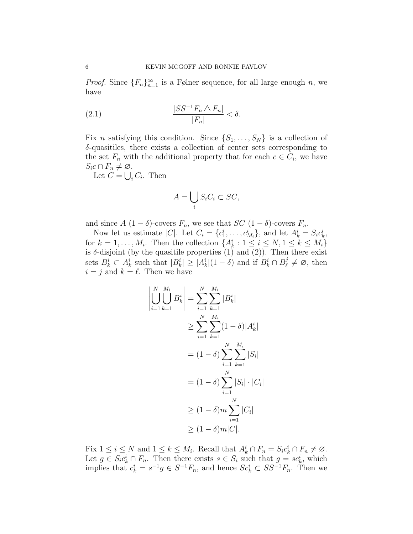*Proof.* Since  ${F_n}_{n=1}^{\infty}$  is a Følner sequence, for all large enough n, we have

(2.1) 
$$
\frac{|SS^{-1}F_n \triangle F_n|}{|F_n|} < \delta.
$$

Fix *n* satisfying this condition. Since  $\{S_1, \ldots, S_N\}$  is a collection of δ-quasitiles, there exists a collection of center sets corresponding to the set  $F_n$  with the additional property that for each  $c \in C_i$ , we have  $S_i c \cap F_n \neq \emptyset$ .

Let  $C = \bigcup_i C_i$ . Then

$$
A = \bigcup_i S_i C_i \subset SC,
$$

and since  $A(1 - \delta)$ -covers  $F_n$ , we see that  $SC(1 - \delta)$ -covers  $F_n$ .

Now let us estimate |C|. Let  $C_i = \{c_1^i, \ldots, c_{M_i}^i\}$ , and let  $A_k^i = S_i c_k^i$ , for  $k = 1, ..., M_i$ . Then the collection  $\{A_k^i : 1 \le i \le N, 1 \le k \le M_i\}$ is  $\delta$ -disjoint (by the quasitile properties (1) and (2)). Then there exist sets  $B_k^i \subset A_k^i$  such that  $|B_k^i| \geq |A_k^i|(1-\delta)$  and if  $B_k^i \cap B_\ell^j$  $\chi^j_\ell \neq \emptyset$ , then  $i = j$  and  $k = \ell$ . Then we have

$$
\left| \bigcup_{i=1}^{N} \bigcup_{k=1}^{M_i} B_k^i \right| = \sum_{i=1}^{N} \sum_{k=1}^{M_i} |B_k^i|
$$
  
\n
$$
\geq \sum_{i=1}^{N} \sum_{k=1}^{M_i} (1 - \delta) |A_k^i|
$$
  
\n
$$
= (1 - \delta) \sum_{i=1}^{N} \sum_{k=1}^{M_i} |S_i|
$$
  
\n
$$
= (1 - \delta) \sum_{i=1}^{N} |S_i| \cdot |C_i|
$$
  
\n
$$
\geq (1 - \delta) m \sum_{i=1}^{N} |C_i|
$$
  
\n
$$
\geq (1 - \delta) m |C|.
$$

Fix  $1 \leq i \leq N$  and  $1 \leq k \leq M_i$ . Recall that  $A_k^i \cap F_n = S_i c_k^i \cap F_n \neq \emptyset$ . Let  $g \in S_i c_k^i \cap F_n$ . Then there exists  $s \in S_i$  such that  $g = sc_k^i$ , which implies that  $c_k^i = s^{-1}g \in S^{-1}F_n$ , and hence  $Sc_k^i \subset SS^{-1}F_n$ . Then we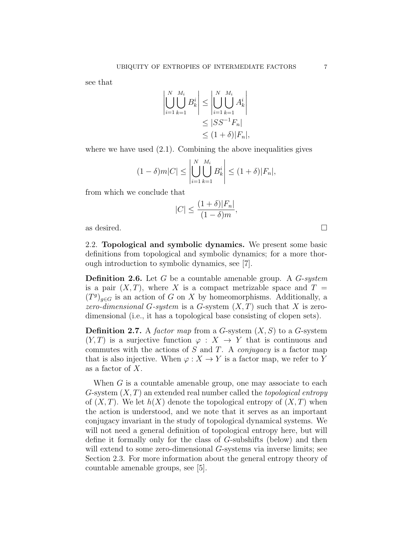see that

$$
\left| \bigcup_{i=1}^{N} \bigcup_{k=1}^{M_i} B_k^i \right| \le \left| \bigcup_{i=1}^{N} \bigcup_{k=1}^{M_i} A_k^i \right|
$$
  
\n
$$
\le |SS^{-1}F_n|
$$
  
\n
$$
\le (1+\delta)|F_n|,
$$

where we have used  $(2.1)$ . Combining the above inequalities gives

$$
(1 - \delta)m|C| \le \left| \bigcup_{i=1}^{N} \bigcup_{k=1}^{M_i} B_k^i \right| \le (1 + \delta)|F_n|,
$$

from which we conclude that

$$
|C| \le \frac{(1+\delta)|F_n|}{(1-\delta)m},
$$

as desired.  $\Box$ 

2.2. Topological and symbolic dynamics. We present some basic definitions from topological and symbolic dynamics; for a more thorough introduction to symbolic dynamics, see [7].

**Definition 2.6.** Let  $G$  be a countable amenable group. A  $G$ -system is a pair  $(X, T)$ , where X is a compact metrizable space and  $T =$  $(T<sup>g</sup>)<sub>g</sub> \in G$  is an action of G on X by homeomorphisms. Additionally, a zero-dimensional G-system is a G-system  $(X, T)$  such that X is zerodimensional (i.e., it has a topological base consisting of clopen sets).

**Definition 2.7.** A factor map from a G-system  $(X, S)$  to a G-system  $(Y, T)$  is a surjective function  $\varphi : X \to Y$  that is continuous and commutes with the actions of  $S$  and  $T$ . A *conjugacy* is a factor map that is also injective. When  $\varphi: X \to Y$  is a factor map, we refer to Y as a factor of X.

When  $G$  is a countable amenable group, one may associate to each G-system  $(X, T)$  an extended real number called the *topological entropy* of  $(X, T)$ . We let  $h(X)$  denote the topological entropy of  $(X, T)$  when the action is understood, and we note that it serves as an important conjugacy invariant in the study of topological dynamical systems. We will not need a general definition of topological entropy here, but will define it formally only for the class of G-subshifts (below) and then will extend to some zero-dimensional G-systems via inverse limits; see Section 2.3. For more information about the general entropy theory of countable amenable groups, see [5].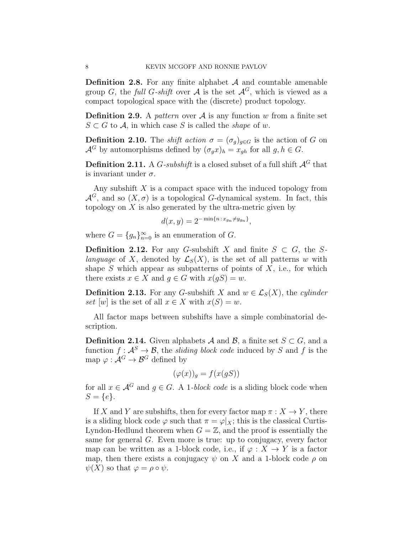**Definition 2.8.** For any finite alphabet  $A$  and countable amenable group G, the full G-shift over A is the set  $\mathcal{A}^G$ , which is viewed as a compact topological space with the (discrete) product topology.

**Definition 2.9.** A *pattern* over  $A$  is any function w from a finite set  $S \subset G$  to A, in which case S is called the *shape* of w.

**Definition 2.10.** The *shift action*  $\sigma = (\sigma_q)_{q \in G}$  is the action of G on  $\mathcal{A}^G$  by automorphisms defined by  $(\sigma_g x)_h = x_{gh}$  for all  $g, h \in G$ .

**Definition 2.11.** A G-subshift is a closed subset of a full shift  $A^G$  that is invariant under  $\sigma$ .

Any subshift  $X$  is a compact space with the induced topology from  $\mathcal{A}^G$ , and so  $(X, \sigma)$  is a topological G-dynamical system. In fact, this topology on  $X$  is also generated by the ultra-metric given by

$$
d(x,y) = 2^{-\min\{n \,:\, x_{g_n} \neq y_{g_n}\}},
$$

where  $G = \{g_n\}_{n=0}^{\infty}$  is an enumeration of G.

**Definition 2.12.** For any G-subshift X and finite  $S \subset G$ , the Slanguage of X, denoted by  $\mathcal{L}_S(X)$ , is the set of all patterns w with shape S which appear as subpatterns of points of  $X$ , i.e., for which there exists  $x \in X$  and  $g \in G$  with  $x(gS) = w$ .

**Definition 2.13.** For any G-subshift X and  $w \in \mathcal{L}_S(X)$ , the cylinder set [w] is the set of all  $x \in X$  with  $x(S) = w$ .

All factor maps between subshifts have a simple combinatorial description.

**Definition 2.14.** Given alphabets A and B, a finite set  $S \subset G$ , and a function  $f: \mathcal{A}^S \to \mathcal{B}$ , the *sliding block code* induced by S and f is the map  $\varphi : \mathcal{A}^G \to \mathcal{B}^G$  defined by

$$
(\varphi(x))_g = f(x(gS))
$$

for all  $x \in \mathcal{A}^G$  and  $q \in G$ . A 1-block code is a sliding block code when  $S = \{e\}.$ 

If X and Y are subshifts, then for every factor map  $\pi : X \to Y$ , there is a sliding block code  $\varphi$  such that  $\pi = \varphi|_X$ ; this is the classical Curtis-Lyndon-Hedlund theorem when  $G = \mathbb{Z}$ , and the proof is essentially the same for general G. Even more is true: up to conjugacy, every factor map can be written as a 1-block code, i.e., if  $\varphi: X \to Y$  is a factor map, then there exists a conjugacy  $\psi$  on X and a 1-block code  $\rho$  on  $\psi(X)$  so that  $\varphi = \rho \circ \psi$ .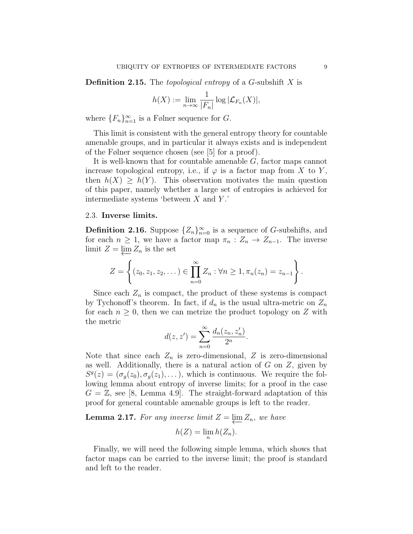**Definition 2.15.** The *topological entropy* of a  $G$ -subshift  $X$  is

$$
h(X) := \lim_{n \to \infty} \frac{1}{|F_n|} \log |\mathcal{L}_{F_n}(X)|,
$$

where  $\{F_n\}_{n=1}^{\infty}$  is a Følner sequence for G.

This limit is consistent with the general entropy theory for countable amenable groups, and in particular it always exists and is independent of the Følner sequence chosen (see [5] for a proof).

It is well-known that for countable amenable G, factor maps cannot increase topological entropy, i.e., if  $\varphi$  is a factor map from X to Y, then  $h(X) \geq h(Y)$ . This observation motivates the main question of this paper, namely whether a large set of entropies is achieved for intermediate systems 'between  $X$  and  $Y$ .'

## 2.3. Inverse limits.

**Definition 2.16.** Suppose  ${Z_n}_{n=0}^{\infty}$  is a sequence of G-subshifts, and for each  $n \geq 1$ , we have a factor map  $\pi_n : Z_n \to Z_{n-1}$ . The inverse limit  $Z = \varprojlim Z_n$  is the set

$$
Z = \left\{ (z_0, z_1, z_2, \dots) \in \prod_{n=0}^{\infty} Z_n : \forall n \geq 1, \pi_n(z_n) = z_{n-1} \right\}.
$$

Since each  $Z_n$  is compact, the product of these systems is compact by Tychonoff's theorem. In fact, if  $d_n$  is the usual ultra-metric on  $Z_n$ for each  $n \geq 0$ , then we can metrize the product topology on Z with the metric

$$
d(z, z') = \sum_{n=0}^{\infty} \frac{d_n(z_n, z'_n)}{2^n}.
$$

Note that since each  $Z_n$  is zero-dimensional, Z is zero-dimensional as well. Additionally, there is a natural action of  $G$  on  $Z$ , given by  $S<sup>g</sup>(z) = (\sigma<sub>g</sub>(z<sub>0</sub>), \sigma<sub>g</sub>(z<sub>1</sub>), \ldots),$  which is continuous. We require the following lemma about entropy of inverse limits; for a proof in the case  $G = \mathbb{Z}$ , see [8, Lemma 4.9]. The straight-forward adaptation of this proof for general countable amenable groups is left to the reader.

**Lemma 2.17.** For any inverse limit  $Z = \varprojlim Z_n$ , we have

$$
h(Z) = \lim_{n} h(Z_n).
$$

Finally, we will need the following simple lemma, which shows that factor maps can be carried to the inverse limit; the proof is standard and left to the reader.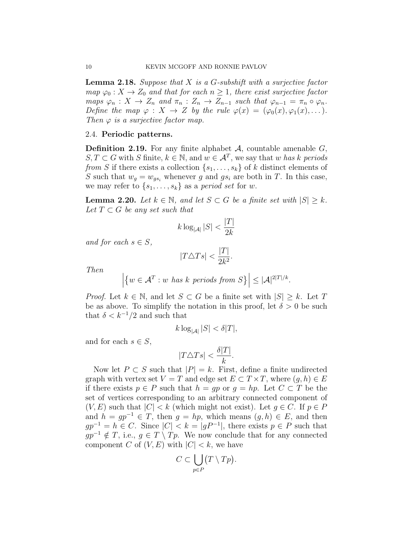**Lemma 2.18.** Suppose that  $X$  is a  $G$ -subshift with a surjective factor map  $\varphi_0: X \to Z_0$  and that for each  $n \geq 1$ , there exist surjective factor maps  $\varphi_n : X \to Z_n$  and  $\pi_n : Z_n \to Z_{n-1}$  such that  $\varphi_{n-1} = \pi_n \circ \varphi_n$ . Define the map  $\varphi : X \to Z$  by the rule  $\varphi(x) = (\varphi_0(x), \varphi_1(x), \dots)$ . Then  $\varphi$  is a surjective factor map.

## 2.4. Periodic patterns.

**Definition 2.19.** For any finite alphabet  $A$ , countable amenable  $G$ ,  $S, T \subset G$  with S finite,  $k \in \mathbb{N}$ , and  $w \in \mathcal{A}^T$ , we say that w has k periods from S if there exists a collection  $\{s_1, \ldots, s_k\}$  of k distinct elements of S such that  $w_g = w_{gs_i}$  whenever g and  $gs_i$  are both in T. In this case, we may refer to  $\{s_1, \ldots, s_k\}$  as a *period set* for w.

**Lemma 2.20.** Let  $k \in \mathbb{N}$ , and let  $S \subset G$  be a finite set with  $|S| \geq k$ . Let  $T \subset G$  be any set such that

$$
k \log_{|\mathcal{A}|} |S| < \frac{|T|}{2k}
$$

and for each  $s \in S$ ,

$$
|T\triangle Ts| < \frac{|T|}{2k^2}.
$$

Then

$$
\left| \left\{ w \in \mathcal{A}^T : w \text{ has } k \text{ periods from } S \right\} \right| \leq |\mathcal{A}|^{2|T|/k}.
$$

*Proof.* Let  $k \in \mathbb{N}$ , and let  $S \subset G$  be a finite set with  $|S| \geq k$ . Let T be as above. To simplify the notation in this proof, let  $\delta > 0$  be such that  $\delta < k^{-1}/2$  and such that

$$
k \log_{|\mathcal{A}|} |S| < \delta |T|,
$$

and for each  $s \in S$ ,

$$
|T \triangle T s| < \frac{\delta |T|}{k}.
$$

Now let  $P \subset S$  such that  $|P| = k$ . First, define a finite undirected graph with vertex set  $V = T$  and edge set  $E \subset T \times T$ , where  $(q, h) \in E$ if there exists  $p \in P$  such that  $h = qp$  or  $q = hp$ . Let  $C \subset T$  be the set of vertices corresponding to an arbitrary connected component of  $(V, E)$  such that  $|C| < k$  (which might not exist). Let  $g \in C$ . If  $p \in P$ and  $h = gp^{-1} \in T$ , then  $g = hp$ , which means  $(g, h) \in E$ , and then  $gp^{-1} = h \in C$ . Since  $|C| < k = |gP^{-1}|$ , there exists  $p \in P$  such that  $qp^{-1} \notin T$ , i.e.,  $q \in T \setminus Tp$ . We now conclude that for any connected component C of  $(V, E)$  with  $|C| < k$ , we have

$$
C \subset \bigcup_{p \in P} (T \setminus Tp).
$$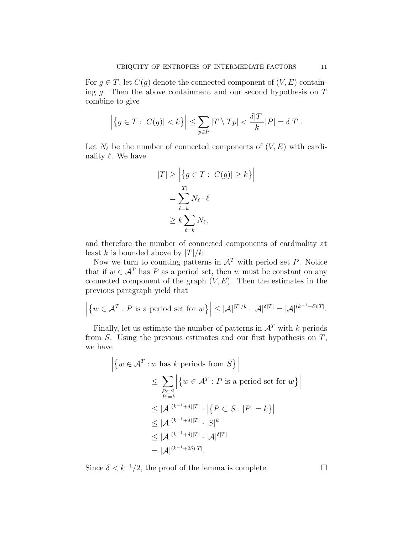For  $g \in T$ , let  $C(g)$  denote the connected component of  $(V, E)$  containing  $g$ . Then the above containment and our second hypothesis on  $T$ combine to give

$$
\left| \left\{ g \in T : |C(g)| < k \right\} \right| \leq \sum_{p \in P} |T \setminus Tp| < \frac{\delta |T|}{k} |P| = \delta |T|.
$$

Let  $N_{\ell}$  be the number of connected components of  $(V, E)$  with cardinality  $\ell$ . We have

$$
|T| \ge \left| \{ g \in T : |C(g)| \ge k \} \right|
$$
  
= 
$$
\sum_{\ell=k}^{|T|} N_{\ell} \cdot \ell
$$
  

$$
\ge k \sum_{\ell=k} N_{\ell},
$$

and therefore the number of connected components of cardinality at least k is bounded above by  $|T|/k$ .

Now we turn to counting patterns in  $\mathcal{A}^T$  with period set P. Notice that if  $w \in \mathcal{A}^T$  has P as a period set, then w must be constant on any connected component of the graph  $(V, E)$ . Then the estimates in the previous paragraph yield that

$$
\left| \left\{ w \in \mathcal{A}^T : P \text{ is a period set for } w \right\} \right| \leq |\mathcal{A}|^{|T|/k} \cdot |\mathcal{A}|^{\delta |T|} = |\mathcal{A}|^{(k^{-1} + \delta)|T|}.
$$

Finally, let us estimate the number of patterns in  $\mathcal{A}^T$  with k periods from  $S$ . Using the previous estimates and our first hypothesis on  $T$ , we have

$$
\left| \{ w \in \mathcal{A}^T : w \text{ has } k \text{ periods from } S \} \right|
$$
  
\n
$$
\leq \sum_{\substack{P \subset S \\ |P| = k}} \left| \{ w \in \mathcal{A}^T : P \text{ is a period set for } w \} \right|
$$
  
\n
$$
\leq |\mathcal{A}|^{(k^{-1} + \delta)|T|} \cdot \left| \{ P \subset S : |P| = k \} \right|
$$
  
\n
$$
\leq |\mathcal{A}|^{(k^{-1} + \delta)|T|} \cdot |S|^k
$$
  
\n
$$
\leq |\mathcal{A}|^{(k^{-1} + \delta)|T|} \cdot |\mathcal{A}|^{\delta|T|}
$$
  
\n
$$
= |\mathcal{A}|^{(k^{-1} + 2\delta)|T|}.
$$

Since  $\delta < k^{-1}/2$ , the proof of the lemma is complete.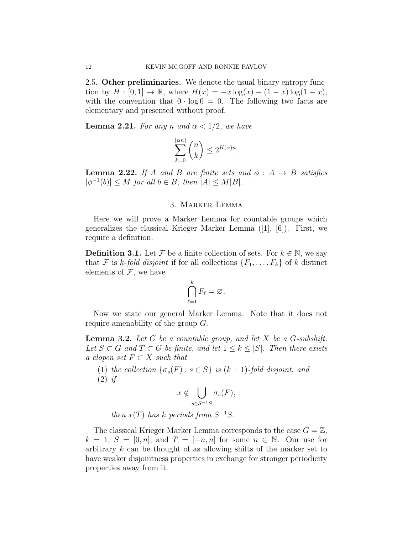2.5. Other preliminaries. We denote the usual binary entropy function by  $H : [0, 1] \to \mathbb{R}$ , where  $H(x) = -x \log(x) - (1 - x) \log(1 - x)$ , with the convention that  $0 \cdot \log 0 = 0$ . The following two facts are elementary and presented without proof.

**Lemma 2.21.** For any n and  $\alpha < 1/2$ , we have

$$
\sum_{k=0}^{\lfloor \alpha n \rfloor} \binom{n}{k} \leq 2^{H(\alpha)n}.
$$

**Lemma 2.22.** If A and B are finite sets and  $\phi : A \rightarrow B$  satisfies  $|\phi^{-1}(b)| \leq M$  for all  $b \in B$ , then  $|A| \leq M|B|$ .

## 3. Marker Lemma

Here we will prove a Marker Lemma for countable groups which generalizes the classical Krieger Marker Lemma ([1], [6]). First, we require a definition.

**Definition 3.1.** Let F be a finite collection of sets. For  $k \in \mathbb{N}$ , we say that F is k-fold disjoint if for all collections  $\{F_1, \ldots, F_k\}$  of k distinct elements of  $\mathcal F$ , we have

$$
\bigcap_{\ell=1}^k F_\ell = \varnothing.
$$

Now we state our general Marker Lemma. Note that it does not require amenability of the group G.

**Lemma 3.2.** Let G be a countable group, and let X be a G-subshift. Let  $S \subset G$  and  $T \subset G$  be finite, and let  $1 \leq k \leq |S|$ . Then there exists a clopen set  $F \subset X$  such that

(1) the collection  $\{\sigma_s(F) : s \in S\}$  is  $(k+1)$ -fold disjoint, and  $(2)$  if

$$
x \notin \bigcup_{s \in S^{-1}S} \sigma_s(F),
$$

then  $x(T)$  has k periods from  $S^{-1}S$ .

The classical Krieger Marker Lemma corresponds to the case  $G = \mathbb{Z}$ ,  $k = 1, S = [0, n],$  and  $T = [-n, n]$  for some  $n \in \mathbb{N}$ . Our use for arbitrary k can be thought of as allowing shifts of the marker set to have weaker disjointness properties in exchange for stronger periodicity properties away from it.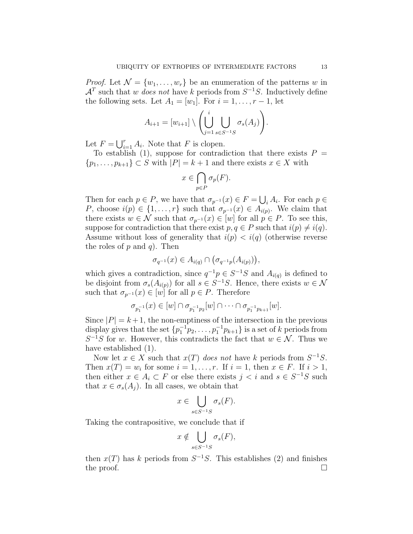*Proof.* Let  $\mathcal{N} = \{w_1, \ldots, w_r\}$  be an enumeration of the patterns w in  $\mathcal{A}^T$  such that w does not have k periods from  $S^{-1}S$ . Inductively define the following sets. Let  $A_1 = [w_1]$ . For  $i = 1, \ldots, r - 1$ , let

$$
A_{i+1} = [w_{i+1}] \setminus \left( \bigcup_{j=1}^{i} \bigcup_{s \in S^{-1}S} \sigma_s(A_j) \right).
$$

Let  $F = \bigcup_{i=1}^r A_i$ . Note that F is clopen.

To establish (1), suppose for contradiction that there exists  $P =$  $\{p_1, \ldots, p_{k+1}\} \subset S$  with  $|P| = k+1$  and there exists  $x \in X$  with

$$
x \in \bigcap_{p \in P} \sigma_p(F).
$$

Then for each  $p \in P$ , we have that  $\sigma_{p^{-1}}(x) \in F = \bigcup_i A_i$ . For each  $p \in \mathbb{R}$ P, choose  $i(p) \in \{1, \ldots, r\}$  such that  $\sigma_{p^{-1}}(x) \in A_{i(p)}$ . We claim that there exists  $w \in \mathcal{N}$  such that  $\sigma_{p^{-1}}(x) \in [w]$  for all  $p \in P$ . To see this, suppose for contradiction that there exist  $p, q \in P$  such that  $i(p) \neq i(q)$ . Assume without loss of generality that  $i(p) < i(q)$  (otherwise reverse the roles of  $p$  and  $q$ ). Then

$$
\sigma_{q^{-1}}(x) \in A_{i(q)} \cap (\sigma_{q^{-1}p}(A_{i(p)})),
$$

which gives a contradiction, since  $q^{-1}p \in S^{-1}S$  and  $A_{i(q)}$  is defined to be disjoint from  $\sigma_s(A_{i(p)})$  for all  $s \in S^{-1}S$ . Hence, there exists  $w \in \mathcal{N}$ such that  $\sigma_{p^{-1}}(x) \in [w]$  for all  $p \in P$ . Therefore

$$
\sigma_{p_1^{-1}}(x) \in [w] \cap \sigma_{p_1^{-1}p_2}[w] \cap \cdots \cap \sigma_{p_1^{-1}p_{k+1}}[w].
$$

Since  $|P| = k + 1$ , the non-emptiness of the intersection in the previous display gives that the set  $\{p_1^{-1}p_2, \ldots, p_1^{-1}p_{k+1}\}$  is a set of k periods from  $S^{-1}S$  for w. However, this contradicts the fact that  $w \in \mathcal{N}$ . Thus we have established (1).

Now let  $x \in X$  such that  $x(T)$  does not have k periods from  $S^{-1}S$ . Then  $x(T) = w_i$  for some  $i = 1, \ldots, r$ . If  $i = 1$ , then  $x \in F$ . If  $i > 1$ , then either  $x \in A_i \subset F$  or else there exists  $j < i$  and  $s \in S^{-1}S$  such that  $x \in \sigma_s(A_i)$ . In all cases, we obtain that

$$
x \in \bigcup_{s \in S^{-1}S} \sigma_s(F).
$$

Taking the contrapositive, we conclude that if

$$
x \notin \bigcup_{s \in S^{-1}S} \sigma_s(F),
$$

then  $x(T)$  has k periods from  $S^{-1}S$ . This establishes (2) and finishes the proof.  $\Box$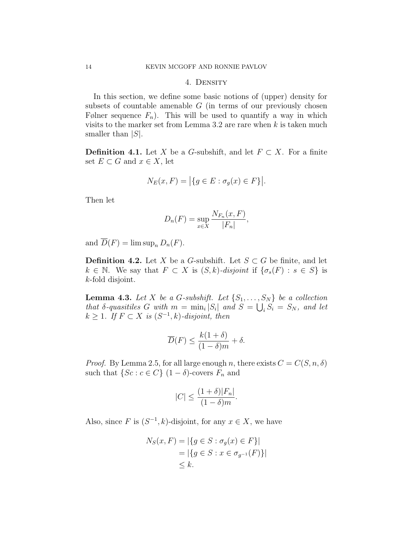#### 4. Density

In this section, we define some basic notions of (upper) density for subsets of countable amenable  $G$  (in terms of our previously chosen Følner sequence  $F_n$ ). This will be used to quantify a way in which visits to the marker set from Lemma 3.2 are rare when  $k$  is taken much smaller than  $|S|$ .

**Definition 4.1.** Let X be a G-subshift, and let  $F \subset X$ . For a finite set  $E \subset G$  and  $x \in X$ , let

$$
N_E(x, F) = |\{ g \in E : \sigma_g(x) \in F \}|.
$$

Then let

$$
D_n(F) = \sup_{x \in X} \frac{N_{F_n}(x, F)}{|F_n|},
$$

and  $\overline{D}(F) = \limsup_n D_n(F)$ .

**Definition 4.2.** Let X be a G-subshift. Let  $S \subset G$  be finite, and let  $k \in \mathbb{N}$ . We say that  $F \subset X$  is  $(S, k)$ -disjoint if  $\{\sigma_s(F) : s \in S\}$  is k-fold disjoint.

**Lemma 4.3.** Let X be a G-subshift. Let  $\{S_1, \ldots, S_N\}$  be a collection that  $\delta$ -quasitiles G with  $m = \min_i |S_i|$  and  $S = \bigcup_i S_i = S_N$ , and let  $k \geq 1$ . If  $F \subset X$  is  $(S^{-1}, k)$ -disjoint, then

$$
\overline{D}(F) \le \frac{k(1+\delta)}{(1-\delta)m} + \delta.
$$

*Proof.* By Lemma 2.5, for all large enough n, there exists  $C = C(S, n, \delta)$ such that  $\{Sc : c \in C\}$   $(1 - \delta)$ -covers  $F_n$  and

$$
|C| \le \frac{(1+\delta)|F_n|}{(1-\delta)m}.
$$

Also, since F is  $(S^{-1}, k)$ -disjoint, for any  $x \in X$ , we have

$$
N_S(x, F) = |\{ g \in S : \sigma_g(x) \in F \}|
$$
  
= |\{ g \in S : x \in \sigma\_{g^{-1}}(F) \}|  
 $\leq k.$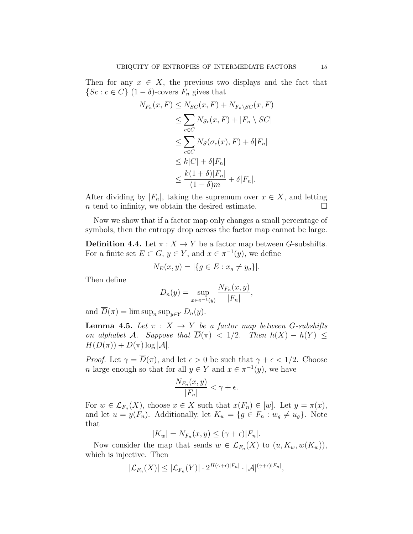Then for any  $x \in X$ , the previous two displays and the fact that  $\{Sc : c \in C\}$   $(1 - \delta)$ -covers  $F_n$  gives that

$$
N_{F_n}(x, F) \leq N_{SC}(x, F) + N_{F_n \setminus SC}(x, F)
$$
  
\n
$$
\leq \sum_{c \in C} N_{Sc}(x, F) + |F_n \setminus SC|
$$
  
\n
$$
\leq \sum_{c \in C} N_S(\sigma_c(x), F) + \delta |F_n|
$$
  
\n
$$
\leq k|C| + \delta |F_n|
$$
  
\n
$$
\leq \frac{k(1+\delta)|F_n|}{(1-\delta)m} + \delta |F_n|.
$$

After dividing by  $|F_n|$ , taking the supremum over  $x \in X$ , and letting  $n$  tend to infinity, we obtain the desired estimate.  $\Box$ 

Now we show that if a factor map only changes a small percentage of symbols, then the entropy drop across the factor map cannot be large.

**Definition 4.4.** Let  $\pi: X \to Y$  be a factor map between *G*-subshifts. For a finite set  $E \subset G$ ,  $y \in Y$ , and  $x \in \pi^{-1}(y)$ , we define

$$
N_E(x, y) = |\{ g \in E : x_g \neq y_g \}|.
$$

Then define

$$
D_n(y) = \sup_{x \in \pi^{-1}(y)} \frac{N_{F_n}(x, y)}{|F_n|},
$$

and  $D(\pi) = \limsup_n \sup_{y \in Y} D_n(y)$ .

**Lemma 4.5.** Let  $\pi$  :  $X \to Y$  be a factor map between G-subshifts on alphabet A. Suppose that  $\overline{D}(\pi) < 1/2$ . Then  $h(X) - h(Y) \leq$  $H(\overline{D}(\pi)) + \overline{D}(\pi) \log |\mathcal{A}|.$ 

*Proof.* Let  $\gamma = \overline{D}(\pi)$ , and let  $\epsilon > 0$  be such that  $\gamma + \epsilon < 1/2$ . Choose *n* large enough so that for all  $y \in Y$  and  $x \in \pi^{-1}(y)$ , we have

$$
\frac{N_{F_n}(x,y)}{|F_n|} < \gamma + \epsilon.
$$

For  $w \in \mathcal{L}_{F_n}(X)$ , choose  $x \in X$  such that  $x(F_n) \in [w]$ . Let  $y = \pi(x)$ , and let  $u = y(F_n)$ . Additionally, let  $K_w = \{g \in F_n : w_g \neq u_g\}$ . Note that

$$
|K_w| = N_{F_n}(x, y) \le (\gamma + \epsilon)|F_n|.
$$

Now consider the map that sends  $w \in \mathcal{L}_{F_n}(X)$  to  $(u, K_w, w(K_w)),$ which is injective. Then

$$
|\mathcal{L}_{F_n}(X)| \leq |\mathcal{L}_{F_n}(Y)| \cdot 2^{H(\gamma + \epsilon)|F_n|} \cdot |\mathcal{A}|^{(\gamma + \epsilon)|F_n|},
$$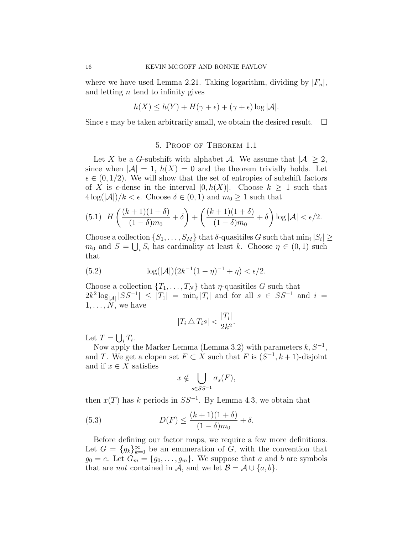where we have used Lemma 2.21. Taking logarithm, dividing by  $|F_n|$ , and letting  $n$  tend to infinity gives

$$
h(X) \le h(Y) + H(\gamma + \epsilon) + (\gamma + \epsilon) \log |\mathcal{A}|.
$$

Since  $\epsilon$  may be taken arbitrarily small, we obtain the desired result.  $\Box$ 

## 5. Proof of Theorem 1.1

Let X be a G-subshift with alphabet A. We assume that  $|A| \geq 2$ , since when  $|\mathcal{A}| = 1$ ,  $h(X) = 0$  and the theorem trivially holds. Let  $\epsilon \in (0, 1/2)$ . We will show that the set of entropies of subshift factors of X is  $\epsilon$ -dense in the interval  $[0, h(X)]$ . Choose  $k \geq 1$  such that  $4\log(|\mathcal{A}|)/k < \epsilon$ . Choose  $\delta \in (0,1)$  and  $m_0 \geq 1$  such that

(5.1) 
$$
H\left(\frac{(k+1)(1+\delta)}{(1-\delta)m_0} + \delta\right) + \left(\frac{(k+1)(1+\delta)}{(1-\delta)m_0} + \delta\right) \log |\mathcal{A}| < \epsilon/2.
$$

Choose a collection  $\{S_1, \ldots, S_M\}$  that  $\delta$ -quasitiles G such that  $\min_i |S_i| \geq$  $m_0$  and  $S = \bigcup_i S_i$  has cardinality at least k. Choose  $\eta \in (0,1)$  such that

(5.2) 
$$
\log(|\mathcal{A}|)(2k^{-1}(1-\eta)^{-1}+\eta)<\epsilon/2.
$$

Choose a collection  $\{T_1, \ldots, T_N\}$  that  $\eta$ -quasitiles G such that  $2k^2 \log_{|A|}|SS^{-1}| \leq |T_1| = \min_i |T_i|$  and for all  $s \in SS^{-1}$  and  $i =$  $1, \ldots, N$ , we have

$$
|T_i \bigtriangleup T_i s| < \frac{|T_i|}{2k^2}.
$$

Let  $T = \bigcup_i T_i$ .

Now apply the Marker Lemma (Lemma 3.2) with parameters  $k, S^{-1}$ , and T. We get a clopen set  $F \subset X$  such that F is  $(S^{-1}, k+1)$ -disjoint and if  $x \in X$  satisfies

$$
x \notin \bigcup_{s \in SS^{-1}} \sigma_s(F),
$$

then  $x(T)$  has k periods in  $SS^{-1}$ . By Lemma 4.3, we obtain that

(5.3) 
$$
\overline{D}(F) \le \frac{(k+1)(1+\delta)}{(1-\delta)m_0} + \delta.
$$

Before defining our factor maps, we require a few more definitions. Let  $G = \{g_k\}_{k=0}^{\infty}$  be an enumeration of G, with the convention that  $g_0 = e$ . Let  $G_m = \{g_0, \ldots, g_m\}$ . We suppose that a and b are symbols that are *not* contained in A, and we let  $\mathcal{B} = \mathcal{A} \cup \{a, b\}.$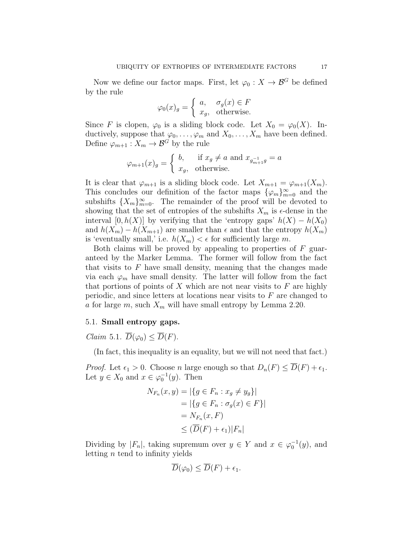Now we define our factor maps. First, let  $\varphi_0 : X \to \mathcal{B}^G$  be defined by the rule

$$
\varphi_0(x)_g = \begin{cases} a, & \sigma_g(x) \in F \\ x_g, & \text{otherwise.} \end{cases}
$$

Since F is clopen,  $\varphi_0$  is a sliding block code. Let  $X_0 = \varphi_0(X)$ . Inductively, suppose that  $\varphi_0, \ldots, \varphi_m$  and  $X_0, \ldots, X_m$  have been defined. Define  $\varphi_{m+1}: X_m \to \mathcal{B}^G$  by the rule

$$
\varphi_{m+1}(x)_g = \begin{cases} b, & \text{if } x_g \neq a \text{ and } x_{g_{m+1}^{-1}g} = a \\ x_g, & \text{otherwise.} \end{cases}
$$

It is clear that  $\varphi_{m+1}$  is a sliding block code. Let  $X_{m+1} = \varphi_{m+1}(X_m)$ . This concludes our definition of the factor maps  $\{\varphi_m\}_{m=0}^{\infty}$  and the subshifts  ${X_m}_{m=0}^{\infty}$ . The remainder of the proof will be devoted to showing that the set of entropies of the subshifts  $X_m$  is  $\epsilon$ -dense in the interval  $[0, h(X)]$  by verifying that the 'entropy gaps'  $h(X) - h(X_0)$ and  $h(X_m) - h(X_{m+1})$  are smaller than  $\epsilon$  and that the entropy  $h(X_m)$ is 'eventually small,' i.e.  $h(X_m) < \epsilon$  for sufficiently large m.

Both claims will be proved by appealing to properties of  $F$  guaranteed by the Marker Lemma. The former will follow from the fact that visits to  $F$  have small density, meaning that the changes made via each  $\varphi_m$  have small density. The latter will follow from the fact that portions of points of  $X$  which are not near visits to  $F$  are highly periodic, and since letters at locations near visits to F are changed to a for large m, such  $X_m$  will have small entropy by Lemma 2.20.

# 5.1. Small entropy gaps.

*Claim* 5.1.  $\overline{D}(\varphi_0) < \overline{D}(F)$ .

(In fact, this inequality is an equality, but we will not need that fact.)

*Proof.* Let  $\epsilon_1 > 0$ . Choose n large enough so that  $D_n(F) \le \overline{D}(F) + \epsilon_1$ . Let  $y \in X_0$  and  $x \in \varphi_0^{-1}(y)$ . Then

$$
N_{F_n}(x, y) = |\{g \in F_n : x_g \neq y_g\}|
$$
  
=  $|\{g \in F_n : \sigma_g(x) \in F\}|$   
=  $N_{F_n}(x, F)$   
 $\leq (\overline{D}(F) + \epsilon_1)|F_n|$ 

Dividing by  $|F_n|$ , taking supremum over  $y \in Y$  and  $x \in \varphi_0^{-1}(y)$ , and letting  $n$  tend to infinity yields

$$
\overline{D}(\varphi_0) \leq \overline{D}(F) + \epsilon_1.
$$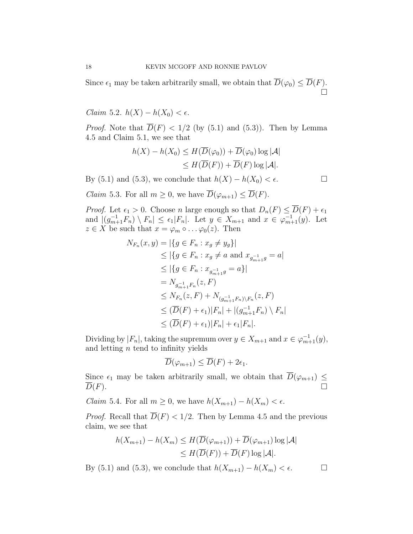Since  $\epsilon_1$  may be taken arbitrarily small, we obtain that  $D(\varphi_0) \leq D(F)$ . Ó

Claim 5.2.  $h(X) - h(X_0) < \epsilon$ .

*Proof.* Note that  $\overline{D}(F) < 1/2$  (by (5.1) and (5.3)). Then by Lemma 4.5 and Claim 5.1, we see that

$$
h(X) - h(X_0) \le H(\overline{D}(\varphi_0)) + \overline{D}(\varphi_0) \log |\mathcal{A}|
$$
  
\$\le H(\overline{D}(F)) + \overline{D}(F) \log |\mathcal{A}|.\$

By (5.1) and (5.3), we conclude that  $h(X) - h(X_0) < \epsilon$ .

*Claim* 5.3. For all  $m \geq 0$ , we have  $\overline{D}(\varphi_{m+1}) \leq \overline{D}(F)$ .

*Proof.* Let  $\epsilon_1 > 0$ . Choose n large enough so that  $D_n(F) \leq \overline{D}(F) + \epsilon_1$ and  $|(g_{m+1}^{-1}F_n) \setminus F_n| \leq \epsilon_1|F_n|$ . Let  $y \in X_{m+1}$  and  $x \in \varphi_{m+1}^{-1}(y)$ . Let  $z \in X$  be such that  $x = \varphi_m \circ \dots \varphi_0(z)$ . Then

$$
N_{F_n}(x, y) = |\{g \in F_n : x_g \neq y_g\}|
$$
  
\n
$$
\leq |\{g \in F_n : x_g \neq a \text{ and } x_{g_{m+1}^{-1}g} = a|
$$
  
\n
$$
\leq |\{g \in F_n : x_{g_{m+1}^{-1}g} = a\}|
$$
  
\n
$$
= N_{g_{m+1}^{-1}F_n}(z, F)
$$
  
\n
$$
\leq N_{F_n}(z, F) + N_{(g_{m+1}^{-1}F_n)\backslash F_n}(z, F)
$$
  
\n
$$
\leq (\overline{D}(F) + \epsilon_1)|F_n| + |(g_{m+1}^{-1}F_n)\backslash F_n|
$$
  
\n
$$
\leq (\overline{D}(F) + \epsilon_1)|F_n| + \epsilon_1|F_n|.
$$

Dividing by  $|F_n|$ , taking the supremum over  $y \in X_{m+1}$  and  $x \in \varphi_{m+1}^{-1}(y)$ , and letting  $n$  tend to infinity yields

$$
\overline{D}(\varphi_{m+1}) \leq \overline{D}(F) + 2\epsilon_1.
$$

Since  $\epsilon_1$  may be taken arbitrarily small, we obtain that  $\overline{D}(\varphi_{m+1}) \leq$  $\overline{D}(F)$ .

*Claim* 5.4. For all  $m \geq 0$ , we have  $h(X_{m+1}) - h(X_m) < \epsilon$ .

*Proof.* Recall that  $\overline{D}(F) < 1/2$ . Then by Lemma 4.5 and the previous claim, we see that

$$
h(X_{m+1}) - h(X_m) \le H(\overline{D}(\varphi_{m+1})) + \overline{D}(\varphi_{m+1}) \log |\mathcal{A}|
$$
  
\n
$$
\le H(\overline{D}(F)) + \overline{D}(F) \log |\mathcal{A}|.
$$

By (5.1) and (5.3), we conclude that  $h(X_{m+1}) - h(X_m) < \epsilon$ .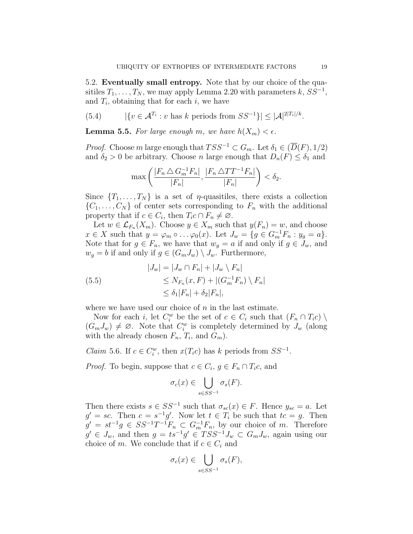5.2. Eventually small entropy. Note that by our choice of the quasitiles  $T_1, \ldots, T_N$ , we may apply Lemma 2.20 with parameters k,  $SS^{-1}$ , and  $T_i$ , obtaining that for each  $i$ , we have

(5.4) 
$$
|\{v \in \mathcal{A}^{T_i} : v \text{ has } k \text{ periods from } SS^{-1}\}| \leq |\mathcal{A}|^{2|T_i|/k}.
$$

**Lemma 5.5.** For large enough m, we have  $h(X_m) < \epsilon$ .

*Proof.* Choose m large enough that  $TSS^{-1} \subset G_m$ . Let  $\delta_1 \in (\overline{D}(F), 1/2)$ and  $\delta_2 > 0$  be arbitrary. Choose *n* large enough that  $D_n(F) \leq \delta_1$  and

$$
\max\left(\frac{|F_n \bigtriangleup G_m^{-1}F_n|}{|F_n|}, \frac{|F_n \bigtriangleup TT^{-1}F_n|}{|F_n|}\right) < \delta_2.
$$

Since  $\{T_1, \ldots, T_N\}$  is a set of  $\eta$ -quasitiles, there exists a collection  $\{C_1, \ldots, C_N\}$  of center sets corresponding to  $F_n$  with the additional property that if  $c \in C_i$ , then  $T_i c \cap F_n \neq \emptyset$ .

Let  $w \in \mathcal{L}_{F_n}(X_m)$ . Choose  $y \in X_m$  such that  $y(F_n) = w$ , and choose  $x \in X$  such that  $y = \varphi_m \circ \dots \varphi_0(x)$ . Let  $J_w = \{g \in G_m^{-1}F_n : y_g = a\}.$ Note that for  $g \in F_n$ , we have that  $w_g = a$  if and only if  $g \in J_w$ , and  $w_q = b$  if and only if  $g \in (G_m J_w) \setminus J_w$ . Furthermore,

(5.5)  
\n
$$
|J_w| = |J_w \cap F_n| + |J_w \setminus F_n|
$$
\n
$$
\leq N_{F_n}(x, F) + |(G_m^{-1}F_n) \setminus F_n|
$$
\n
$$
\leq \delta_1 |F_n| + \delta_2 |F_n|,
$$

where we have used our choice of  $n$  in the last estimate.

Now for each *i*, let  $C_i^w$  be the set of  $c \in C_i$  such that  $(F_n \cap T_i c)$  $(G_m J_w) \neq \emptyset$ . Note that  $C_i^w$  is completely determined by  $J_w$  (along with the already chosen  $F_n$ ,  $T_i$ , and  $G_m$ ).

*Claim* 5.6. If  $c \in C_i^w$ , then  $x(T_i c)$  has k periods from  $SS^{-1}$ .

*Proof.* To begin, suppose that  $c \in C_i$ ,  $g \in F_n \cap T_i$ , and

$$
\sigma_c(x) \in \bigcup_{s \in SS^{-1}} \sigma_s(F).
$$

Then there exists  $s \in SS^{-1}$  such that  $\sigma_{sc}(x) \in F$ . Hence  $y_{sc} = a$ . Let  $g' = sc$ . Then  $c = s^{-1}g'$ . Now let  $t \in T_i$  be such that  $tc = g$ . Then  $g' = st^{-1}g \in SS^{-1}T^{-1}F_n \subset G_m^{-1}F_n$ , by our choice of m. Therefore  $g' \in J_w$ , and then  $g = ts^{-1}g' \in TSS^{-1}J_w \subset G_mJ_w$ , again using our choice of m. We conclude that if  $c \in C_i$  and

$$
\sigma_c(x) \in \bigcup_{s \in SS^{-1}} \sigma_s(F),
$$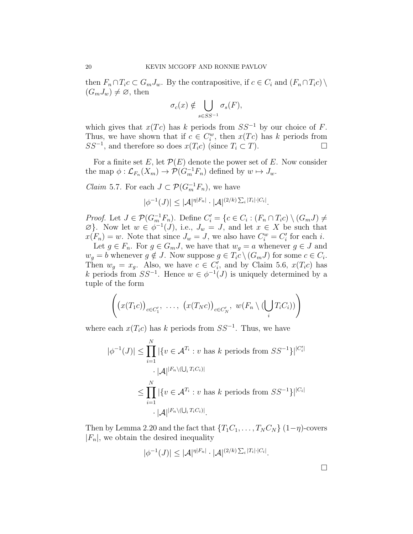then  $F_n \cap T_i c \subset G_m J_w$ . By the contrapositive, if  $c \in C_i$  and  $(F_n \cap T_i c) \setminus$  $(G_m J_w) \neq \emptyset$ , then

$$
\sigma_c(x) \notin \bigcup_{s \in SS^{-1}} \sigma_s(F),
$$

which gives that  $x(Tc)$  has k periods from  $SS^{-1}$  by our choice of F. Thus, we have shown that if  $c \in C_i^w$ , then  $x(Tc)$  has k periods from  $SS^{-1}$ , and therefore so does  $x(T_i c)$  (since  $T_i \subset T$ ).

For a finite set E, let  $\mathcal{P}(E)$  denote the power set of E. Now consider the map  $\phi : \mathcal{L}_{F_n}(X_m) \to \mathcal{P}(G_m^{-1}F_n)$  defined by  $w \mapsto J_w$ .

*Claim* 5.7. For each  $J \subset \mathcal{P}(G_m^{-1}F_n)$ , we have

$$
|\phi^{-1}(J)| \leq |\mathcal{A}|^{\eta|F_n|} \cdot |\mathcal{A}|^{(2/k)\sum_i |T_i| \cdot |C_i|}.
$$

*Proof.* Let  $J \in \mathcal{P}(G_m^{-1}F_n)$ . Define  $C_i' = \{c \in C_i : (F_n \cap T_i c) \setminus (G_m J) \neq$  $\varnothing$ . Now let  $w \in \varnothing^{-1}(J)$ , i.e.,  $J_w = J$ , and let  $x \in X$  be such that  $x(F_n) = w$ . Note that since  $J_w = J$ , we also have  $C_i^w = C_i'$  for each *i*.

Let  $g \in F_n$ . For  $g \in G_m J$ , we have that  $w_g = a$  whenever  $g \in J$  and  $w_g = b$  whenever  $g \notin J$ . Now suppose  $g \in T_i c \setminus (G_m J)$  for some  $c \in C_i$ . Then  $w_g = x_g$ . Also, we have  $c \in C'_i$ , and by Claim 5.6,  $x(T_i c)$  has k periods from  $SS^{-1}$ . Hence  $w \in \phi^{-1}(J)$  is uniquely determined by a tuple of the form

$$
\left( \big(x(T_1c)\big)_{c \in C'_1}, \ \dots, \ \big(x(T_Nc)\big)_{c \in C'_N}, \ w(F_n \setminus (\bigcup_i T_iC_i)) \right)
$$

where each  $x(T_i c)$  has k periods from  $SS^{-1}$ . Thus, we have

$$
\phi^{-1}(J)| \le \prod_{i=1}^N |\{v \in \mathcal{A}^{T_i} : v \text{ has } k \text{ periods from } SS^{-1}\}|^{|C_i'|}
$$

$$
\cdot |\mathcal{A}|^{|F_n \setminus (\bigcup_i T_i C_i)|}
$$

$$
\le \prod_{i=1}^N |\{v \in \mathcal{A}^{T_i} : v \text{ has } k \text{ periods from } SS^{-1}\}|^{|C_i|}
$$

$$
\cdot |\mathcal{A}|^{|F_n \setminus (\bigcup_i T_i C_i)|}.
$$

Then by Lemma 2.20 and the fact that  $\{T_1C_1, \ldots, T_NC_N\}$   $(1-\eta)$ -covers  $|F_n|$ , we obtain the desired inequality

$$
|\phi^{-1}(J)| \leq |\mathcal{A}|^{\eta|F_n|} \cdot |\mathcal{A}|^{(2/k)\sum_i |T_i| \cdot |C_i|}.
$$

 $\overline{\phantom{a}}$ 

 $\Box$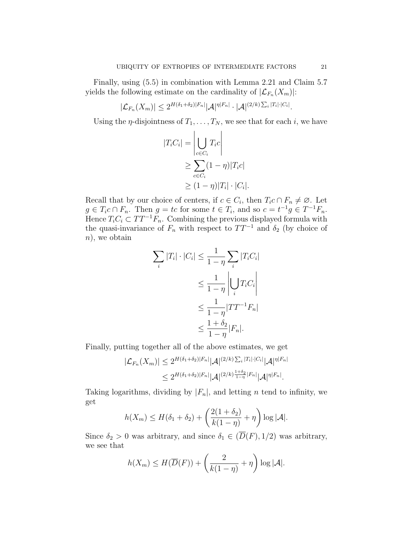Finally, using (5.5) in combination with Lemma 2.21 and Claim 5.7 yields the following estimate on the cardinality of  $|\mathcal{L}_{F_n}(X_m)|$ :

$$
|\mathcal{L}_{F_n}(X_m)| \leq 2^{H(\delta_1+\delta_2)|F_n|} |\mathcal{A}|^{\eta|F_n|} \cdot |\mathcal{A}|^{(2/k)\sum_i |T_i| \cdot |C_i|}.
$$

Using the  $\eta$ -disjointness of  $T_1, \ldots, T_N$ , we see that for each i, we have

$$
|T_i C_i| = \left| \bigcup_{c \in C_i} T_i c \right|
$$
  
\n
$$
\geq \sum_{c \in C_i} (1 - \eta) |T_i c|
$$
  
\n
$$
\geq (1 - \eta) |T_i| \cdot |C_i|.
$$

Recall that by our choice of centers, if  $c \in C_i$ , then  $T_i c \cap F_n \neq \emptyset$ . Let  $g \in T_i c \cap F_n$ . Then  $g = tc$  for some  $t \in T_i$ , and so  $c = t^{-1}g \in T^{-1}F_n$ . Hence  $T_iC_i \subset TT^{-1}F_n$ . Combining the previous displayed formula with the quasi-invariance of  $F_n$  with respect to  $TT^{-1}$  and  $\delta_2$  (by choice of  $n$ , we obtain

$$
\sum_{i} |T_{i}| \cdot |C_{i}| \le \frac{1}{1-\eta} \sum_{i} |T_{i}C_{i}|
$$
  
\n
$$
\le \frac{1}{1-\eta} \left| \bigcup_{i} T_{i}C_{i} \right|
$$
  
\n
$$
\le \frac{1}{1-\eta} |TT^{-1}F_{n}|
$$
  
\n
$$
\le \frac{1+\delta_{2}}{1-\eta} |F_{n}|.
$$

Finally, putting together all of the above estimates, we get

$$
|\mathcal{L}_{F_n}(X_m)| \le 2^{H(\delta_1 + \delta_2)|F_n|} |\mathcal{A}|^{(2/k)\sum_i |T_i| \cdot |C_i|} |\mathcal{A}|^{\eta|F_n|}
$$
  

$$
\le 2^{H(\delta_1 + \delta_2)|F_n|} |\mathcal{A}|^{(2/k)\frac{1+\delta_2}{1-\eta}|F_n|} |\mathcal{A}|^{\eta|F_n|}.
$$

Taking logarithms, dividing by  $|F_n|$ , and letting *n* tend to infinity, we get

$$
h(X_m) \le H(\delta_1 + \delta_2) + \left(\frac{2(1+\delta_2)}{k(1-\eta)} + \eta\right) \log |\mathcal{A}|.
$$

Since  $\delta_2 > 0$  was arbitrary, and since  $\delta_1 \in (\overline{D}(F), 1/2)$  was arbitrary, we see that

$$
h(X_m) \leq H(\overline{D}(F)) + \left(\frac{2}{k(1-\eta)} + \eta\right) \log |\mathcal{A}|.
$$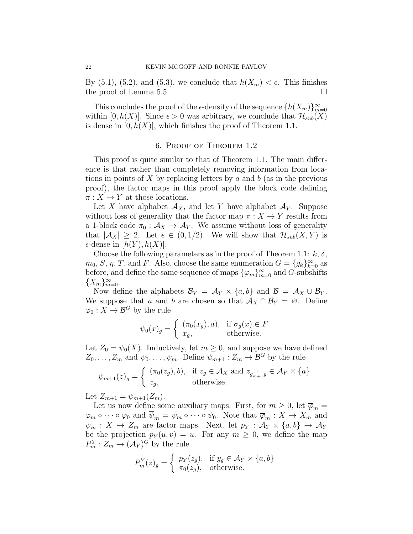By  $(5.1)$ ,  $(5.2)$ , and  $(5.3)$ , we conclude that  $h(X_m) < \epsilon$ . This finishes the proof of Lemma 5.5.

This concludes the proof of the  $\epsilon$ -density of the sequence  $\{h(X_m)\}_{m=0}^{\infty}$ within [0, h(X)]. Since  $\epsilon > 0$  was arbitrary, we conclude that  $\mathcal{H}_{sub}(X)$ is dense in  $[0, h(X)]$ , which finishes the proof of Theorem 1.1.

#### 6. Proof of Theorem 1.2

This proof is quite similar to that of Theorem 1.1. The main difference is that rather than completely removing information from locations in points of X by replacing letters by a and  $b$  (as in the previous proof), the factor maps in this proof apply the block code defining  $\pi: X \to Y$  at those locations.

Let X have alphabet  $\mathcal{A}_X$ , and let Y have alphabet  $\mathcal{A}_Y$ . Suppose without loss of generality that the factor map  $\pi : X \to Y$  results from a 1-block code  $\pi_0 : A_X \to A_Y$ . We assume without loss of generality that  $|A_X| \geq 2$ . Let  $\epsilon \in (0, 1/2)$ . We will show that  $\mathcal{H}_{sub}(X, Y)$  is  $\epsilon$ -dense in  $[h(Y), h(X)]$ .

Choose the following parameters as in the proof of Theorem 1.1:  $k, \delta$ ,  $m_0, S, \eta, T$ , and F. Also, choose the same enumeration  $G = \{g_k\}_{k=0}^{\infty}$  as before, and define the same sequence of maps  $\{\varphi_m\}_{m=0}^{\infty}$  and G-subshifts  ${X_m}_{m=0}^{\infty}$ .

Now define the alphabets  $\mathcal{B}_Y = \mathcal{A}_Y \times \{a, b\}$  and  $\mathcal{B} = \mathcal{A}_X \cup \mathcal{B}_Y$ . We suppose that a and b are chosen so that  $\mathcal{A}_X \cap \mathcal{B}_Y = \emptyset$ . Define  $\varphi_0: X \to \mathcal{B}^G$  by the rule

$$
\psi_0(x)_g = \begin{cases} (\pi_0(x_g), a), & \text{if } \sigma_g(x) \in F \\ x_g, & \text{otherwise.} \end{cases}
$$

Let  $Z_0 = \psi_0(X)$ . Inductively, let  $m \geq 0$ , and suppose we have defined  $Z_0, \ldots, Z_m$  and  $\psi_0, \ldots, \psi_m$ . Define  $\psi_{m+1} : Z_m \to \mathcal{B}^G$  by the rule

$$
\psi_{m+1}(z)_g = \begin{cases} (\pi_0(z_g), b), & \text{if } z_g \in \mathcal{A}_X \text{ and } z_{g_{m+1}^{-1}g} \in \mathcal{A}_Y \times \{a\} \\ z_g, & \text{otherwise.} \end{cases}
$$

Let  $Z_{m+1} = \psi_{m+1}(Z_m)$ .

Let us now define some auxiliary maps. First, for  $m \geq 0$ , let  $\overline{\varphi}_m =$  $\varphi_m \circ \cdots \circ \varphi_0$  and  $\overline{\psi}_m = \psi_m \circ \cdots \circ \psi_0$ . Note that  $\overline{\varphi}_m : X \to X_m$  and  $\psi_m : X \to Z_m$  are factor maps. Next, let  $p_Y : \mathcal{A}_Y \times \{a, b\} \to \mathcal{A}_Y$ be the projection  $p_Y(u, v) = u$ . For any  $m \geq 0$ , we define the map  $P_m^Y: Z_m \to (\mathcal{A}_Y)^G$  by the rule

$$
P_m^Y(z)_g = \begin{cases} p_Y(z_g), & \text{if } y_g \in \mathcal{A}_Y \times \{a, b\} \\ \pi_0(z_g), & \text{otherwise.} \end{cases}
$$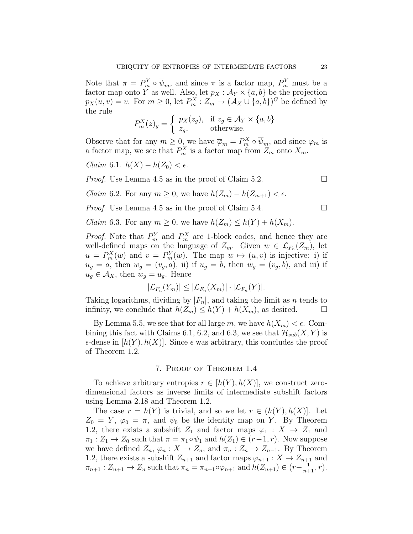Note that  $\pi = P_m^Y \circ \overline{\psi}_m$ , and since  $\pi$  is a factor map,  $P_m^Y$  must be a factor map onto Y as well. Also, let  $p_X : \mathcal{A}_Y \times \{a, b\}$  be the projection  $p_X(u, v) = v$ . For  $m \ge 0$ , let  $P_m^X : Z_m \to (\mathcal{A}_X \cup \{a, b\})^G$  be defined by the rule

$$
P_m^X(z)_g = \begin{cases} p_X(z_g), & \text{if } z_g \in \mathcal{A}_Y \times \{a, b\} \\ z_g, & \text{otherwise.} \end{cases}
$$

Observe that for any  $m \geq 0$ , we have  $\overline{\varphi}_m = P_m^X \circ \overline{\psi}_m$ , and since  $\varphi_m$  is a factor map, we see that  $P_m^X$  is a factor map from  $Z_m$  onto  $X_m$ .

Claim 6.1.  $h(X) - h(Z_0) < \epsilon$ .

*Proof.* Use Lemma 4.5 as in the proof of Claim 5.2.

*Claim* 6.2. For any  $m \geq 0$ , we have  $h(Z_m) - h(Z_{m+1}) < \epsilon$ .

*Proof.* Use Lemma 4.5 as in the proof of Claim 5.4.  $\Box$ 

*Claim* 6.3. For any  $m \geq 0$ , we have  $h(Z_m) \leq h(Y) + h(X_m)$ .

*Proof.* Note that  $P_m^Y$  and  $P_m^X$  are 1-block codes, and hence they are well-defined maps on the language of  $Z_m$ . Given  $w \in \mathcal{L}_{F_n}(Z_m)$ , let  $u = P_m^X(w)$  and  $v = P_m^Y(w)$ . The map  $w \mapsto (u, v)$  is injective: i) if  $u_g = a$ , then  $w_g = (v_g, a)$ , ii) if  $u_g = b$ , then  $w_g = (v_g, b)$ , and iii) if  $u_g \in \mathcal{A}_X$ , then  $w_g = u_g$ . Hence

$$
|\mathcal{L}_{F_n}(Y_m)| \leq |\mathcal{L}_{F_n}(X_m)| \cdot |\mathcal{L}_{F_n}(Y)|.
$$

Taking logarithms, dividing by  $|F_n|$ , and taking the limit as n tends to infinity, we conclude that  $h(Z_m) \leq h(Y) + h(X_m)$ , as desired.

By Lemma 5.5, we see that for all large m, we have  $h(X_m) < \epsilon$ . Combining this fact with Claims 6.1, 6.2, and 6.3, we see that  $\mathcal{H}_{sub}(X, Y)$  is  $\epsilon$ -dense in  $[h(Y), h(X)]$ . Since  $\epsilon$  was arbitrary, this concludes the proof of Theorem 1.2.

## 7. Proof of Theorem 1.4

To achieve arbitrary entropies  $r \in [h(Y), h(X)]$ , we construct zerodimensional factors as inverse limits of intermediate subshift factors using Lemma 2.18 and Theorem 1.2.

The case  $r = h(Y)$  is trivial, and so we let  $r \in (h(Y), h(X)]$ . Let  $Z_0 = Y$ ,  $\varphi_0 = \pi$ , and  $\psi_0$  be the identity map on Y. By Theorem 1.2, there exists a subshift  $Z_1$  and factor maps  $\varphi_1 : X \to Z_1$  and  $\pi_1 : Z_1 \to Z_0$  such that  $\pi = \pi_1 \circ \psi_1$  and  $h(Z_1) \in (r-1, r)$ . Now suppose we have defined  $Z_n$ ,  $\varphi_n : X \to Z_n$ , and  $\pi_n : Z_n \to Z_{n-1}$ . By Theorem 1.2, there exists a subshift  $Z_{n+1}$  and factor maps  $\varphi_{n+1}: X \to Z_{n+1}$  and  $\pi_{n+1} : Z_{n+1} \to Z_n$  such that  $\pi_n = \pi_{n+1} \circ \varphi_{n+1}$  and  $h(Z_{n+1}) \in (r - \frac{1}{n+1}, r)$ .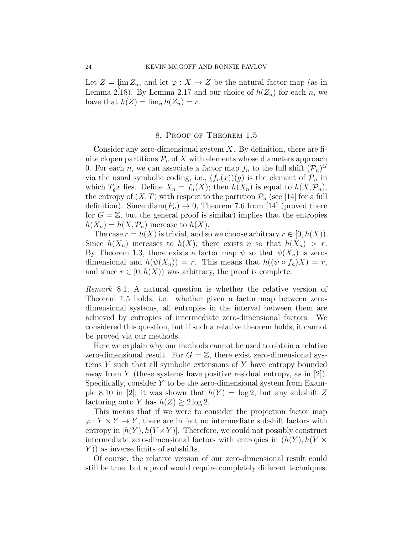Let  $Z = \lim Z_n$ , and let  $\varphi : X \to Z$  be the natural factor map (as in Lemma 2.18). By Lemma 2.17 and our choice of  $h(Z_n)$  for each n, we have that  $h(Z) = \lim_n h(Z_n) = r$ .

#### 8. Proof of Theorem 1.5

Consider any zero-dimensional system  $X$ . By definition, there are finite clopen partitions  $\mathcal{P}_n$  of X with elements whose diameters approach 0. For each *n*, we can associate a factor map  $f_n$  to the full shift  $(\mathcal{P}_n)^G$ via the usual symbolic coding, i.e.,  $(f_n(x))(g)$  is the element of  $\mathcal{P}_n$  in which  $T_g x$  lies. Define  $X_n = f_n(X)$ ; then  $h(X_n)$  is equal to  $h(X, \mathcal{P}_n)$ , the entropy of  $(X, T)$  with respect to the partition  $\mathcal{P}_n$  (see [14] for a full definition). Since  $\text{diam}(P_n) \to 0$ , Theorem 7.6 from [14] (proved there for  $G = \mathbb{Z}$ , but the general proof is similar) implies that the entropies  $h(X_n) = h(X, \mathcal{P}_n)$  increase to  $h(X)$ .

The case  $r = h(X)$  is trivial, and so we choose arbitrary  $r \in [0, h(X))$ . Since  $h(X_n)$  increases to  $h(X)$ , there exists n so that  $h(X_n) > r$ . By Theorem 1.3, there exists a factor map  $\psi$  so that  $\psi(X_n)$  is zerodimensional and  $h(\psi(X_n)) = r$ . This means that  $h((\psi \circ f_n)X) = r$ , and since  $r \in [0, h(X))$  was arbitrary, the proof is complete.

Remark 8.1. A natural question is whether the relative version of Theorem 1.5 holds, i.e. whether given a factor map between zerodimensional systems, all entropies in the interval between them are achieved by entropies of intermediate zero-dimensional factors. We considered this question, but if such a relative theorem holds, it cannot be proved via our methods.

Here we explain why our methods cannot be used to obtain a relative zero-dimensional result. For  $G = \mathbb{Z}$ , there exist zero-dimensional systems Y such that all symbolic extensions of Y have entropy bounded away from Y (these systems have positive residual entropy, as in  $[2]$ ). Specifically, consider  $Y$  to be the zero-dimensional system from Example 8.10 in [2]; it was shown that  $h(Y) = \log 2$ , but any subshift Z factoring onto Y has  $h(Z) \geq 2 \log 2$ .

This means that if we were to consider the projection factor map  $\varphi: Y \times Y \to Y$ , there are in fact no intermediate subshift factors with entropy in  $[h(Y), h(Y \times Y)]$ . Therefore, we could not possibly construct intermediate zero-dimensional factors with entropies in  $(h(Y), h(Y \times$  $Y$ ) as inverse limits of subshifts.

Of course, the relative version of our zero-dimensional result could still be true, but a proof would require completely different techniques.